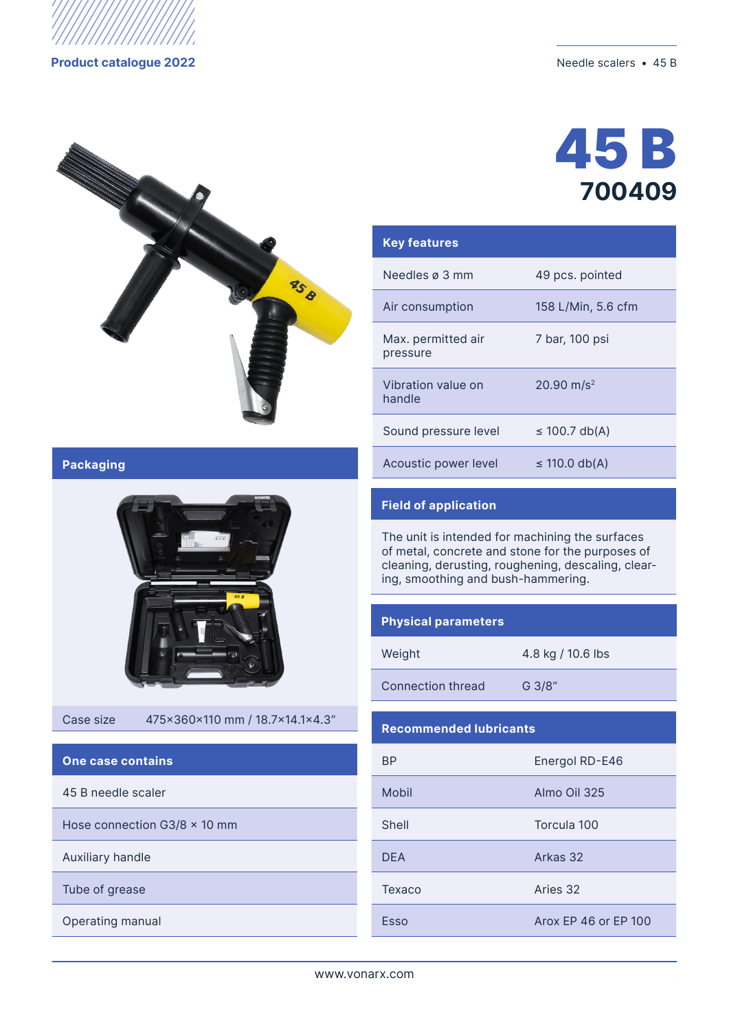

#### **Product catalogue 2022** Needle scalers • 45 B



# 45 B **700409**

| <b>Key features</b>            |                          |
|--------------------------------|--------------------------|
| Needles ø 3 mm                 | 49 pcs. pointed          |
| Air consumption                | 158 L/Min, 5.6 cfm       |
| Max. permitted air<br>pressure | 7 bar, 100 psi           |
| Vibration value on<br>handle   | $20.90$ m/s <sup>2</sup> |
| Sound pressure level           | ≤ 100.7 db(A)            |
| Acoustic power level           | ≤ 110.0 db(A)            |

## **Packaging**



Case size 475x360x110 mm / 18.7x14.1x4.3"

#### **One case contains**

45 B needle scaler

Hose connection G3/8  $\times$  10 mm

Auxiliary handle

Тube of grease

Operating manual

## **Field of application**

The unit is intended for machining the surfaces of metal, concrete and stone for the purposes of cleaning, derusting, roughening, descaling, clearing, smoothing and bush-hammering.

#### **Physical parameters**

| Weight |  |
|--------|--|
|        |  |

4.8 kg / 10.6 lbs

Connection thread G 3/8"

#### **Recommended lubricants**

| <b>BP</b>  | Energol RD-E46       |  |
|------------|----------------------|--|
| Mobil      | Almo Oil 325         |  |
| Shell      | Torcula 100          |  |
| <b>DFA</b> | Arkas 32             |  |
| Texaco     | Aries 32             |  |
| Esso       | Arox FP 46 or FP 100 |  |